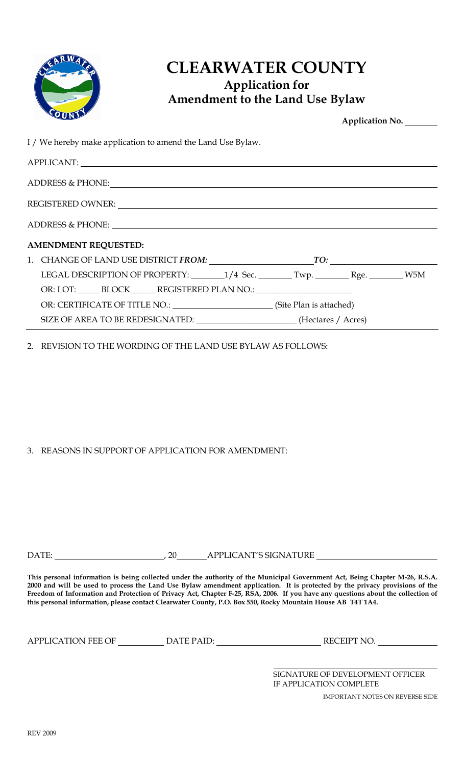

## CLEARWATER COUNTY Application for Amendment to the Land Use Bylaw

| <b>PUNT</b>                                                                                                                                                                                                                    | Application No. _______ |  |
|--------------------------------------------------------------------------------------------------------------------------------------------------------------------------------------------------------------------------------|-------------------------|--|
| I / We hereby make application to amend the Land Use Bylaw.                                                                                                                                                                    |                         |  |
| APPLICANT:                                                                                                                                                                                                                     |                         |  |
| ADDRESS & PHONE: North Contract of the Contract of the Contract of the Contract of the Contract of the Contract of the Contract of the Contract of the Contract of the Contract of the Contract of the Contract of the Contrac |                         |  |
| REGISTERED OWNER: New York Contract the Contract of the Contract of the Contract of the Contract of the Contract of the Contract of the Contract of the Contract of the Contract of the Contract of the Contract of the Contra |                         |  |
|                                                                                                                                                                                                                                |                         |  |
| <b>AMENDMENT REQUESTED:</b>                                                                                                                                                                                                    |                         |  |
|                                                                                                                                                                                                                                |                         |  |
| LEGAL DESCRIPTION OF PROPERTY: _______1/4 Sec. _______Twp. _________Rge. _______W5M                                                                                                                                            |                         |  |
| OR: LOT: ______ BLOCK_______ REGISTERED PLAN NO.: ______________________________                                                                                                                                               |                         |  |
| OR: CERTIFICATE OF TITLE NO.: (Site Plan is attached)                                                                                                                                                                          |                         |  |
| SIZE OF AREA TO BE REDESIGNATED: ______________________(Hectares / Acres)                                                                                                                                                      |                         |  |

2. REVISION TO THE WORDING OF THE LAND USE BYLAW AS FOLLOWS:

3. REASONS IN SUPPORT OF APPLICATION FOR AMENDMENT:

DATE: , 20 APPLICANT'S SIGNATURE

This personal information is being collected under the authority of the Municipal Government Act, Being Chapter M-26, R.S.A. 2000 and will be used to process the Land Use Bylaw amendment application. It is protected by the privacy provisions of the Freedom of Information and Protection of Privacy Act, Chapter F-25, RSA, 2006. If you have any questions about the collection of this personal information, please contact Clearwater County, P.O. Box 550, Rocky Mountain House AB T4T 1A4.

APPLICATION FEE OF DATE PAID: RECEIPT NO.

SIGNATURE OF DEVELOPMENT OFFICER IF APPLICATION COMPLETE

IMPORTANT NOTES ON REVERSE SIDE